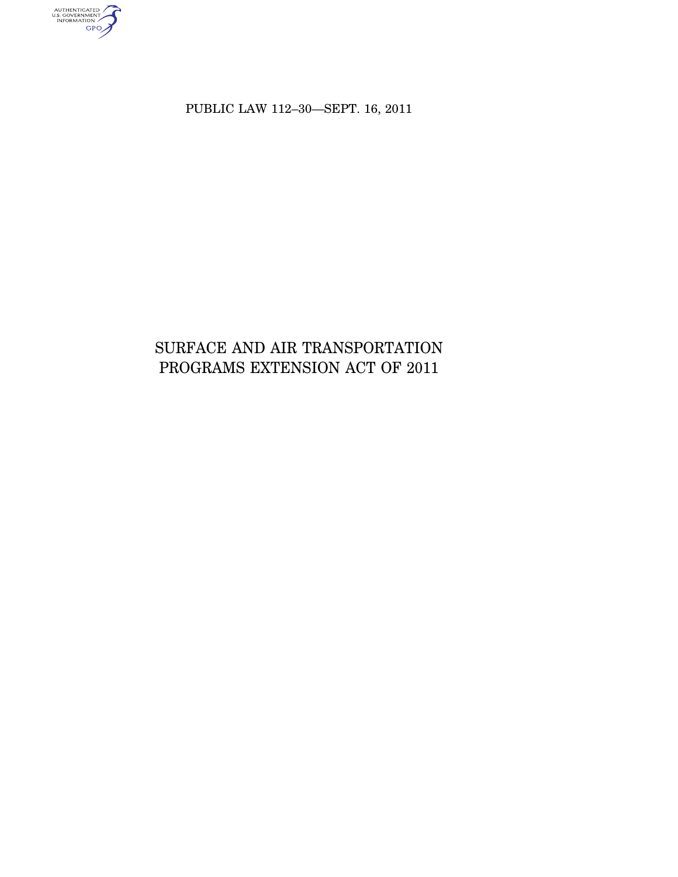AUTHENTICATED<br>U.S. GOVERNMENT<br>INFORMATION

PUBLIC LAW 112–30—SEPT. 16, 2011

# SURFACE AND AIR TRANSPORTATION PROGRAMS EXTENSION ACT OF 2011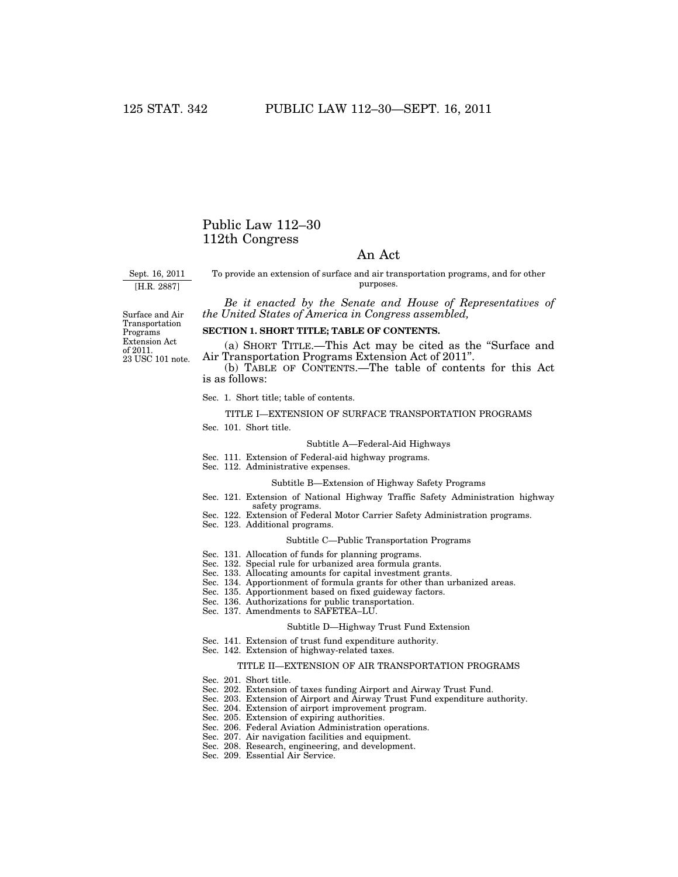## Public Law 112–30 112th Congress

## An Act

Sept. 16, 2011 [H.R. 2887]

To provide an extension of surface and air transportation programs, and for other purposes.

*Be it enacted by the Senate and House of Representatives of the United States of America in Congress assembled,* 

Surface and Air Transportation Programs Extension Act of 2011. 23 USC 101 note.

## **SECTION 1. SHORT TITLE; TABLE OF CONTENTS.**

(a) SHORT TITLE.—This Act may be cited as the ''Surface and Air Transportation Programs Extension Act of 2011''.

(b) TABLE OF CONTENTS.—The table of contents for this Act is as follows:

Sec. 1. Short title; table of contents.

#### TITLE I—EXTENSION OF SURFACE TRANSPORTATION PROGRAMS

Sec. 101. Short title.

#### Subtitle A—Federal-Aid Highways

- Sec. 111. Extension of Federal-aid highway programs.
- Sec. 112. Administrative expenses.

#### Subtitle B—Extension of Highway Safety Programs

- Sec. 121. Extension of National Highway Traffic Safety Administration highway safety programs.
- Sec. 122. Extension of Federal Motor Carrier Safety Administration programs.
- Sec. 123. Additional programs.

#### Subtitle C—Public Transportation Programs

- Sec. 131. Allocation of funds for planning programs.
- Sec. 132. Special rule for urbanized area formula grants.
- Sec. 133. Allocating amounts for capital investment grants.
- Sec. 134. Apportionment of formula grants for other than urbanized areas.
- Sec. 135. Apportionment based on fixed guideway factors.
- Sec. 136. Authorizations for public transportation.
- Sec. 137. Amendments to SAFETEA–LU.

#### Subtitle D—Highway Trust Fund Extension

- Sec. 141. Extension of trust fund expenditure authority.
- Sec. 142. Extension of highway-related taxes.

#### TITLE II—EXTENSION OF AIR TRANSPORTATION PROGRAMS

- Sec. 201. Short title.
- Sec. 202. Extension of taxes funding Airport and Airway Trust Fund.
- Sec. 203. Extension of Airport and Airway Trust Fund expenditure authority.
- Sec. 204. Extension of airport improvement program.
- Sec. 205. Extension of expiring authorities.
- Sec. 206. Federal Aviation Administration operations.
- Sec. 207. Air navigation facilities and equipment.
- Sec. 208. Research, engineering, and development.
- Sec. 209. Essential Air Service.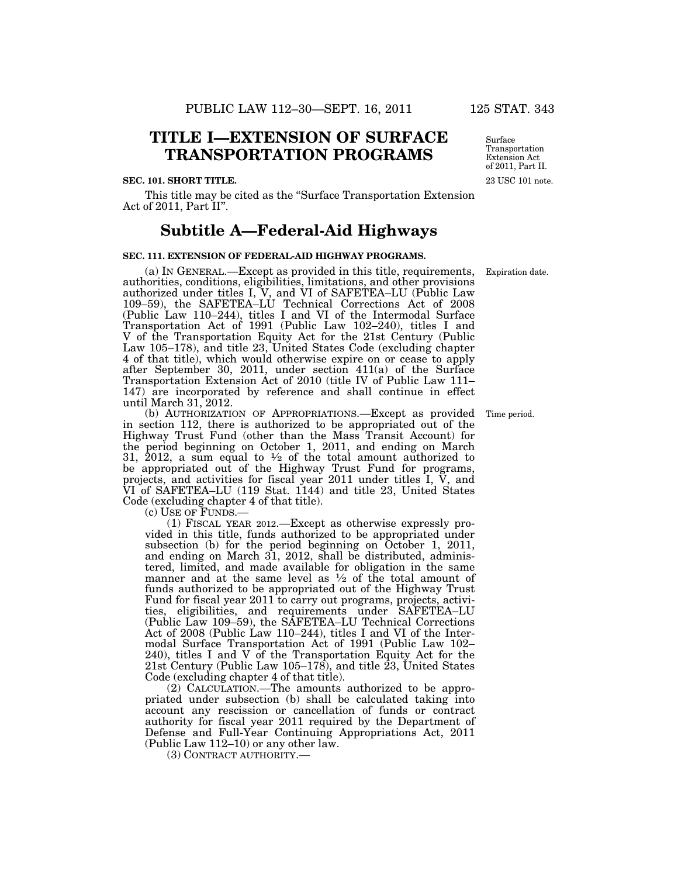## **TITLE I—EXTENSION OF SURFACE TRANSPORTATION PROGRAMS**

#### **SEC. 101. SHORT TITLE.**

This title may be cited as the ''Surface Transportation Extension Act of 2011, Part II''.

## **Subtitle A—Federal-Aid Highways**

## **SEC. 111. EXTENSION OF FEDERAL-AID HIGHWAY PROGRAMS.**

(a) IN GENERAL.—Except as provided in this title, requirements, authorities, conditions, eligibilities, limitations, and other provisions authorized under titles I, V, and VI of SAFETEA–LU (Public Law 109–59), the SAFETEA–LU Technical Corrections Act of 2008 (Public Law 110–244), titles I and VI of the Intermodal Surface Transportation Act of 1991 (Public Law 102–240), titles I and V of the Transportation Equity Act for the 21st Century (Public Law 105–178), and title 23, United States Code (excluding chapter 4 of that title), which would otherwise expire on or cease to apply after September 30, 2011, under section 411(a) of the Surface Transportation Extension Act of 2010 (title IV of Public Law 111– 147) are incorporated by reference and shall continue in effect until March 31, 2012.

(b) AUTHORIZATION OF APPROPRIATIONS.—Except as provided in section 112, there is authorized to be appropriated out of the Highway Trust Fund (other than the Mass Transit Account) for the period beginning on October 1, 2011, and ending on March 31, 2012, a sum equal to  $\frac{1}{2}$  of the total amount authorized to be appropriated out of the Highway Trust Fund for programs, projects, and activities for fiscal year 2011 under titles I, V, and VI of SAFETEA–LU (119 Stat. 1144) and title 23, United States Code (excluding chapter 4 of that title).<br>
(c) USE OF FUNDS.—

(1) FISCAL YEAR 2012.—Except as otherwise expressly provided in this title, funds authorized to be appropriated under subsection (b) for the period beginning on October 1, 2011, and ending on March 31, 2012, shall be distributed, administered, limited, and made available for obligation in the same manner and at the same level as  $\frac{1}{2}$  of the total amount of funds authorized to be appropriated out of the Highway Trust Fund for fiscal year 2011 to carry out programs, projects, activities, eligibilities, and requirements under SAFETEA–LU (Public Law 109–59), the SAFETEA–LU Technical Corrections Act of 2008 (Public Law 110–244), titles I and VI of the Intermodal Surface Transportation Act of 1991 (Public Law 102– 240), titles I and V of the Transportation Equity Act for the 21st Century (Public Law 105–178), and title 23, United States Code (excluding chapter 4 of that title).

(2) CALCULATION.—The amounts authorized to be appropriated under subsection (b) shall be calculated taking into account any rescission or cancellation of funds or contract authority for fiscal year 2011 required by the Department of Defense and Full-Year Continuing Appropriations Act, 2011 (Public Law 112–10) or any other law.

(3) CONTRACT AUTHORITY.—

23 USC 101 note. Surface Transportation Extension Act of 2011, Part II.

Expiration date.

Time period.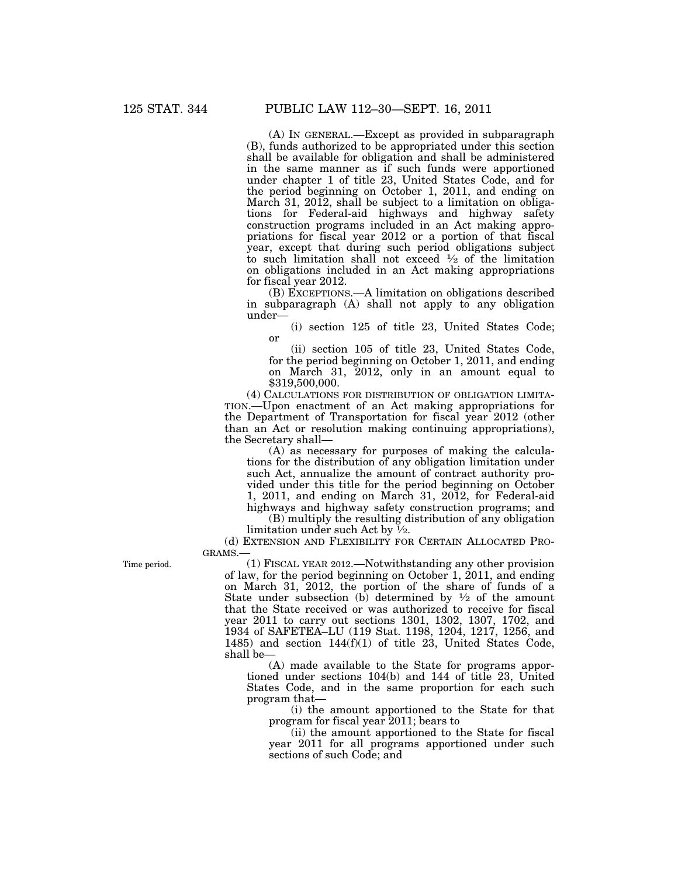(A) IN GENERAL.—Except as provided in subparagraph (B), funds authorized to be appropriated under this section shall be available for obligation and shall be administered in the same manner as if such funds were apportioned under chapter 1 of title 23, United States Code, and for the period beginning on October 1, 2011, and ending on March 31, 2012, shall be subject to a limitation on obligations for Federal-aid highways and highway safety construction programs included in an Act making appropriations for fiscal year 2012 or a portion of that fiscal year, except that during such period obligations subject to such limitation shall not exceed  $\frac{1}{2}$  of the limitation on obligations included in an Act making appropriations for fiscal year 2012.

(B) EXCEPTIONS.—A limitation on obligations described in subparagraph (A) shall not apply to any obligation under—

(i) section 125 of title 23, United States Code; or

(ii) section 105 of title 23, United States Code, for the period beginning on October 1, 2011, and ending on March 31, 2012, only in an amount equal to \$319,500,000.

(4) CALCULATIONS FOR DISTRIBUTION OF OBLIGATION LIMITA-TION.—Upon enactment of an Act making appropriations for the Department of Transportation for fiscal year 2012 (other than an Act or resolution making continuing appropriations), the Secretary shall—

(A) as necessary for purposes of making the calculations for the distribution of any obligation limitation under such Act, annualize the amount of contract authority provided under this title for the period beginning on October 1, 2011, and ending on March 31, 2012, for Federal-aid highways and highway safety construction programs; and

(B) multiply the resulting distribution of any obligation limitation under such Act by 1⁄2.

(d) EXTENSION AND FLEXIBILITY FOR CERTAIN ALLOCATED PRO-GRAMS.

Time period.

(1) FISCAL YEAR 2012.—Notwithstanding any other provision of law, for the period beginning on October 1, 2011, and ending on March 31, 2012, the portion of the share of funds of a State under subsection (b) determined by  $\frac{1}{2}$  of the amount that the State received or was authorized to receive for fiscal year 2011 to carry out sections 1301, 1302, 1307, 1702, and 1934 of SAFETEA–LU (119 Stat. 1198, 1204, 1217, 1256, and 1485) and section 144(f)(1) of title 23, United States Code, shall be—

(A) made available to the State for programs apportioned under sections 104(b) and 144 of title 23, United States Code, and in the same proportion for each such program that—

(i) the amount apportioned to the State for that program for fiscal year 2011; bears to

(ii) the amount apportioned to the State for fiscal year 2011 for all programs apportioned under such sections of such Code; and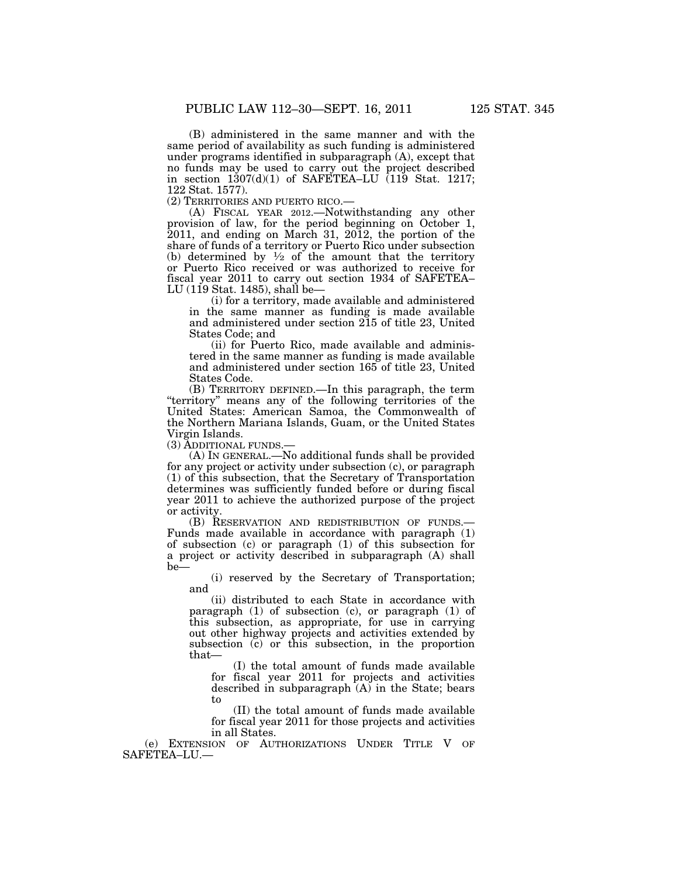(B) administered in the same manner and with the same period of availability as such funding is administered under programs identified in subparagraph (A), except that no funds may be used to carry out the project described in section 1307(d)(1) of SAFETEA–LU (119 Stat. 1217; 122 Stat. 1577).<br>(2) TERRITORIES AND PUERTO RICO.

(A) FISCAL YEAR 2012.—Notwithstanding any other provision of law, for the period beginning on October 1, 2011, and ending on March 31, 2012, the portion of the share of funds of a territory or Puerto Rico under subsection (b) determined by  $\frac{1}{2}$  of the amount that the territory or Puerto Rico received or was authorized to receive for fiscal year 2011 to carry out section 1934 of SAFETEA– LU (119 Stat. 1485), shall be—

(i) for a territory, made available and administered in the same manner as funding is made available and administered under section 215 of title 23, United States Code; and

(ii) for Puerto Rico, made available and administered in the same manner as funding is made available and administered under section 165 of title 23, United States Code.

(B) TERRITORY DEFINED.—In this paragraph, the term ''territory'' means any of the following territories of the United States: American Samoa, the Commonwealth of the Northern Mariana Islands, Guam, or the United States Virgin Islands.

(3) ADDITIONAL FUNDS.—

(A) IN GENERAL.—No additional funds shall be provided for any project or activity under subsection (c), or paragraph (1) of this subsection, that the Secretary of Transportation determines was sufficiently funded before or during fiscal year 2011 to achieve the authorized purpose of the project or activity.

(B) RESERVATION AND REDISTRIBUTION OF FUNDS.— Funds made available in accordance with paragraph (1) of subsection (c) or paragraph (1) of this subsection for a project or activity described in subparagraph (A) shall be—

(i) reserved by the Secretary of Transportation; and

(ii) distributed to each State in accordance with paragraph (1) of subsection (c), or paragraph (1) of this subsection, as appropriate, for use in carrying out other highway projects and activities extended by subsection (c) or this subsection, in the proportion that—

(I) the total amount of funds made available for fiscal year 2011 for projects and activities described in subparagraph  $(A)$  in the State; bears to

(II) the total amount of funds made available for fiscal year 2011 for those projects and activities in all States.

(e) EXTENSION OF AUTHORIZATIONS UNDER TITLE V OF SAFETEA–LU.—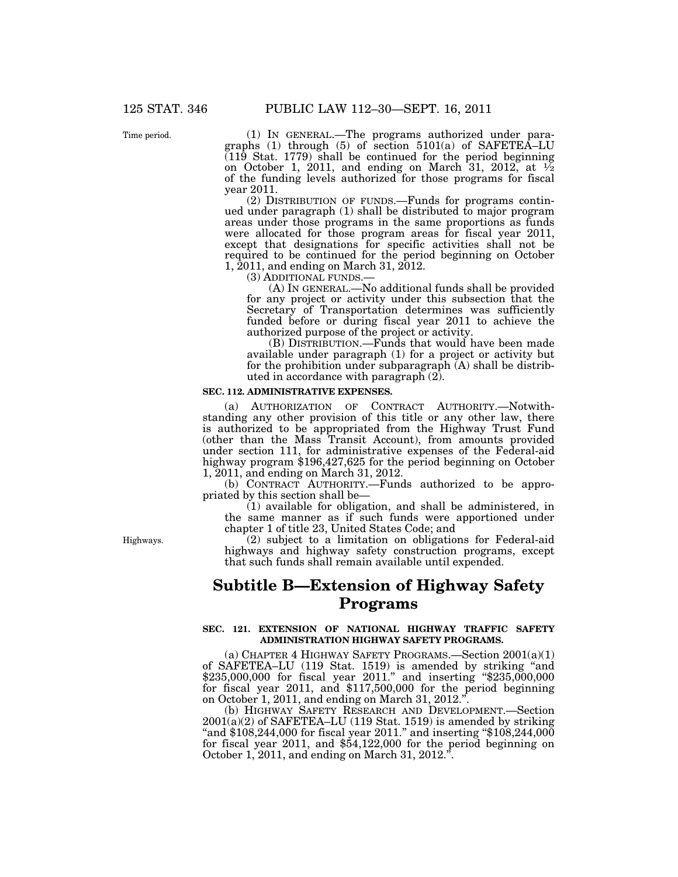Time period.

(1) IN GENERAL.—The programs authorized under paragraphs (1) through (5) of section 5101(a) of SAFETEA–LU (119 Stat. 1779) shall be continued for the period beginning on October 1, 2011, and ending on March 31, 2012, at  $\frac{1}{2}$ of the funding levels authorized for those programs for fiscal year 2011.

(2) DISTRIBUTION OF FUNDS.—Funds for programs continued under paragraph (1) shall be distributed to major program areas under those programs in the same proportions as funds were allocated for those program areas for fiscal year 2011, except that designations for specific activities shall not be required to be continued for the period beginning on October 1, 2011, and ending on March 31, 2012.

(3) ADDITIONAL FUNDS.— (A) IN GENERAL.—No additional funds shall be provided for any project or activity under this subsection that the Secretary of Transportation determines was sufficiently funded before or during fiscal year 2011 to achieve the authorized purpose of the project or activity.

(B) DISTRIBUTION.—Funds that would have been made available under paragraph (1) for a project or activity but for the prohibition under subparagraph (A) shall be distributed in accordance with paragraph (2).

#### **SEC. 112. ADMINISTRATIVE EXPENSES.**

(a) AUTHORIZATION OF CONTRACT AUTHORITY.—Notwithstanding any other provision of this title or any other law, there is authorized to be appropriated from the Highway Trust Fund (other than the Mass Transit Account), from amounts provided under section 111, for administrative expenses of the Federal-aid highway program \$196,427,625 for the period beginning on October 1, 2011, and ending on March 31, 2012.

(b) CONTRACT AUTHORITY.—Funds authorized to be appropriated by this section shall be—

(1) available for obligation, and shall be administered, in the same manner as if such funds were apportioned under chapter 1 of title 23, United States Code; and

(2) subject to a limitation on obligations for Federal-aid highways and highway safety construction programs, except that such funds shall remain available until expended.

## **Subtitle B—Extension of Highway Safety Programs**

### **SEC. 121. EXTENSION OF NATIONAL HIGHWAY TRAFFIC SAFETY ADMINISTRATION HIGHWAY SAFETY PROGRAMS.**

(a) CHAPTER 4 HIGHWAY SAFETY PROGRAMS.—Section 2001(a)(1) of SAFETEA–LU (119 Stat. 1519) is amended by striking ''and \$235,000,000 for fiscal year 2011.'' and inserting ''\$235,000,000 for fiscal year 2011, and \$117,500,000 for the period beginning on October 1, 2011, and ending on March 31, 2012."

(b) HIGHWAY SAFETY RESEARCH AND DEVELOPMENT.—Section  $2001(a)(2)$  of SAFETEA–LU (119 Stat. 1519) is amended by striking "and \$108,244,000 for fiscal year 2011." and inserting "\$108,244,000" for fiscal year 2011, and \$54,122,000 for the period beginning on October 1, 2011, and ending on March 31, 2012.''.

Highways.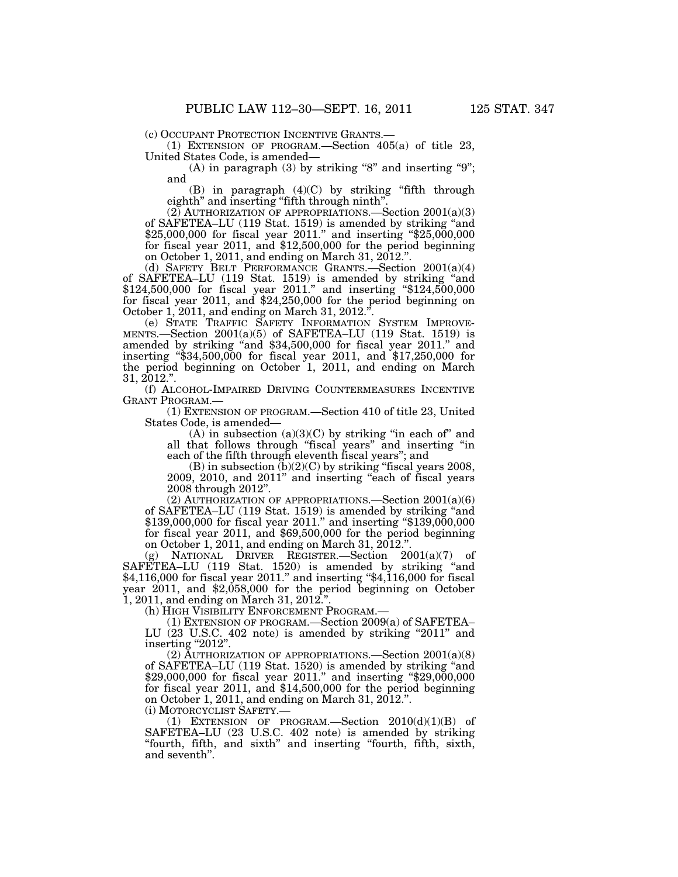(c) OCCUPANT PROTECTION INCENTIVE GRANTS.— (1) EXTENSION OF PROGRAM.—Section 405(a) of title 23, United States Code, is amended—

(A) in paragraph  $(3)$  by striking "8" and inserting "9"; and

 $(B)$  in paragraph  $(4)(C)$  by striking "fifth through eighth" and inserting "fifth through ninth".

 $(2)$  AUTHORIZATION OF APPROPRIATIONS.—Section  $2001(a)(3)$ of SAFETEA–LU (119 Stat. 1519) is amended by striking ''and \$25,000,000 for fiscal year 2011.'' and inserting ''\$25,000,000 for fiscal year 2011, and \$12,500,000 for the period beginning on October 1, 2011, and ending on March 31, 2012.''.

(d) SAFETY BELT PERFORMANCE GRANTS.—Section 2001(a)(4) of SAFETEA–LU (119 Stat. 1519) is amended by striking ''and \$124,500,000 for fiscal year 2011." and inserting "\$124,500,000 for fiscal year 2011, and \$24,250,000 for the period beginning on October 1, 2011, and ending on March 31, 2012."

(e) STATE TRAFFIC SAFETY INFORMATION SYSTEM IMPROVE-MENTS.—Section 2001(a)(5) of SAFETEA–LU (119 Stat. 1519) is amended by striking ''and \$34,500,000 for fiscal year 2011.'' and inserting ''\$34,500,000 for fiscal year 2011, and \$17,250,000 for the period beginning on October 1, 2011, and ending on March 31, 2012.''.

(f) ALCOHOL-IMPAIRED DRIVING COUNTERMEASURES INCENTIVE GRANT PROGRAM.—

(1) EXTENSION OF PROGRAM.—Section 410 of title 23, United States Code, is amended—

 $(A)$  in subsection  $(a)(3)(C)$  by striking "in each of" and all that follows through "fiscal years" and inserting "in each of the fifth through eleventh fiscal years''; and

(B) in subsection  $(b)(2)(C)$  by striking "fiscal years 2008, 2009, 2010, and 2011'' and inserting ''each of fiscal years 2008 through 2012''.

(2) AUTHORIZATION OF APPROPRIATIONS.—Section 2001(a)(6) of SAFETEA–LU (119 Stat. 1519) is amended by striking ''and \$139,000,000 for fiscal year 2011." and inserting "\$139,000,000 for fiscal year 2011, and \$69,500,000 for the period beginning on October 1, 2011, and ending on March 31, 2012.''.

(g) NATIONAL DRIVER REGISTER.—Section 2001(a)(7) of SAFETEA–LU (119 Stat. 1520) is amended by striking "and \$4,116,000 for fiscal year 2011.'' and inserting ''\$4,116,000 for fiscal year 2011, and \$2,058,000 for the period beginning on October 1, 2011, and ending on March 31, 2012.''.

(h) HIGH VISIBILITY ENFORCEMENT PROGRAM.—

(1) EXTENSION OF PROGRAM.—Section 2009(a) of SAFETEA– LU (23 U.S.C. 402 note) is amended by striking "2011" and

inserting "2012".

(2) AUTHORIZATION OF APPROPRIATIONS.—Section  $2001(a)(8)$ of SAFETEA–LU (119 Stat. 1520) is amended by striking ''and \$29,000,000 for fiscal year 2011.'' and inserting ''\$29,000,000 for fiscal year 2011, and \$14,500,000 for the period beginning on October 1, 2011, and ending on March 31, 2012.''.

(i) MOTORCYCLIST SAFETY.—

(1) EXTENSION OF PROGRAM.—Section  $2010(d)(1)(B)$  of SAFETEA–LU (23 U.S.C. 402 note) is amended by striking ''fourth, fifth, and sixth'' and inserting ''fourth, fifth, sixth, and seventh''.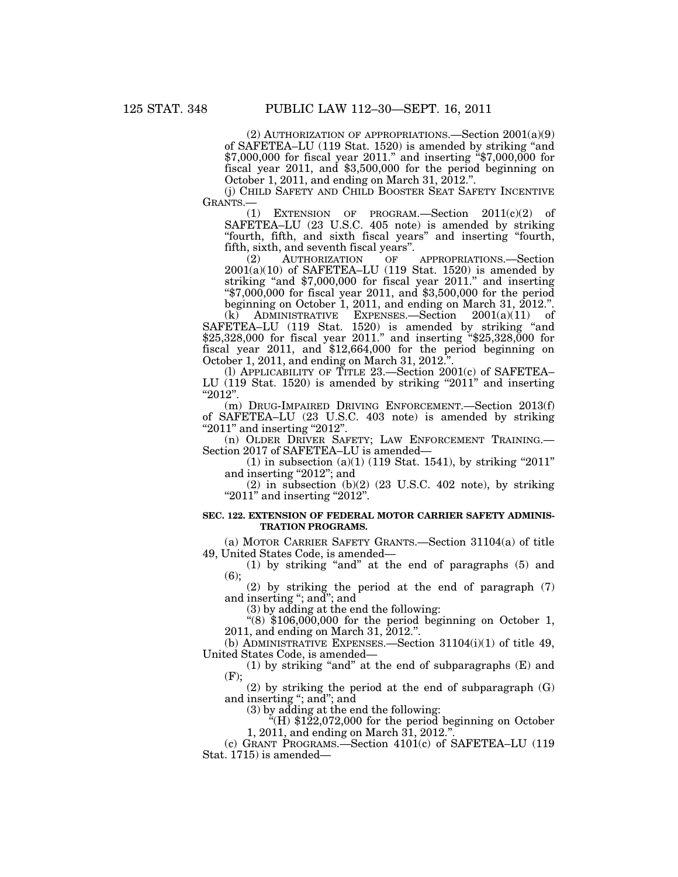(2) AUTHORIZATION OF APPROPRIATIONS.—Section  $2001(a)(9)$ of SAFETEA–LU (119 Stat. 1520) is amended by striking ''and \$7,000,000 for fiscal year 2011.'' and inserting ''\$7,000,000 for fiscal year 2011, and \$3,500,000 for the period beginning on October 1, 2011, and ending on March 31, 2012.".

(j) CHILD SAFETY AND CHILD BOOSTER SEAT SAFETY INCENTIVE GRANTS.—

(1) EXTENSION OF PROGRAM.—Section 2011(c)(2) of SAFETEA–LU (23 U.S.C. 405 note) is amended by striking ''fourth, fifth, and sixth fiscal years'' and inserting ''fourth, fifth, sixth, and seventh fiscal years''.

(2) AUTHORIZATION OF APPROPRIATIONS.—Section  $2001(a)(10)$  of SAFETEA–LU (119 Stat. 1520) is amended by striking ''and \$7,000,000 for fiscal year 2011.'' and inserting  $*57,000,000$  for fiscal year 2011, and \$3,500,000 for the period beginning on October 1, 2011, and ending on March 31, 2012.''.

 $(k)$  ADMINISTRATIVE EXPENSES.—Section  $2001(a)(11)$  of SAFETEA–LU (119 Stat. 1520) is amended by striking "and \$25,328,000 for fiscal year 2011.'' and inserting ''\$25,328,000 for fiscal year 2011, and \$12,664,000 for the period beginning on October 1, 2011, and ending on March 31, 2012."

(l) APPLICABILITY OF TITLE 23.—Section 2001(c) of SAFETEA– LU (119 Stat. 1520) is amended by striking "2011" and inserting  $"2012"$ .

(m) DRUG-IMPAIRED DRIVING ENFORCEMENT.—Section 2013(f) of SAFETEA–LU (23 U.S.C. 403 note) is amended by striking " $2011$ " and inserting " $2012$ ".

(n) OLDER DRIVER SAFETY; LAW ENFORCEMENT TRAINING.— Section 2017 of SAFETEA–LU is amended—

 $(1)$  in subsection  $(a)(1)$  (119 Stat. 1541), by striking "2011" and inserting "2012"; and

 $(2)$  in subsection  $(b)(2)$   $(23 \text{ U.S.C. } 402 \text{ note})$ , by striking " $2011$ " and inserting " $2012$ ".

### **SEC. 122. EXTENSION OF FEDERAL MOTOR CARRIER SAFETY ADMINIS-TRATION PROGRAMS.**

(a) MOTOR CARRIER SAFETY GRANTS.—Section 31104(a) of title 49, United States Code, is amended—

(1) by striking ''and'' at the end of paragraphs (5) and  $(6);$ 

(2) by striking the period at the end of paragraph (7) and inserting ''; and''; and

(3) by adding at the end the following:

" $(8)$  \$106,000,000 for the period beginning on October 1, 2011, and ending on March 31, 2012.''.

(b) ADMINISTRATIVE EXPENSES.—Section 31104(i)(1) of title 49, United States Code, is amended—

(1) by striking "and" at the end of subparagraphs  $(E)$  and (F);

(2) by striking the period at the end of subparagraph (G) and inserting ''; and''; and

(3) by adding at the end the following:

''(H) \$122,072,000 for the period beginning on October 1, 2011, and ending on March 31, 2012.''.

(c) GRANT PROGRAMS.—Section 4101(c) of SAFETEA–LU (119 Stat. 1715) is amended—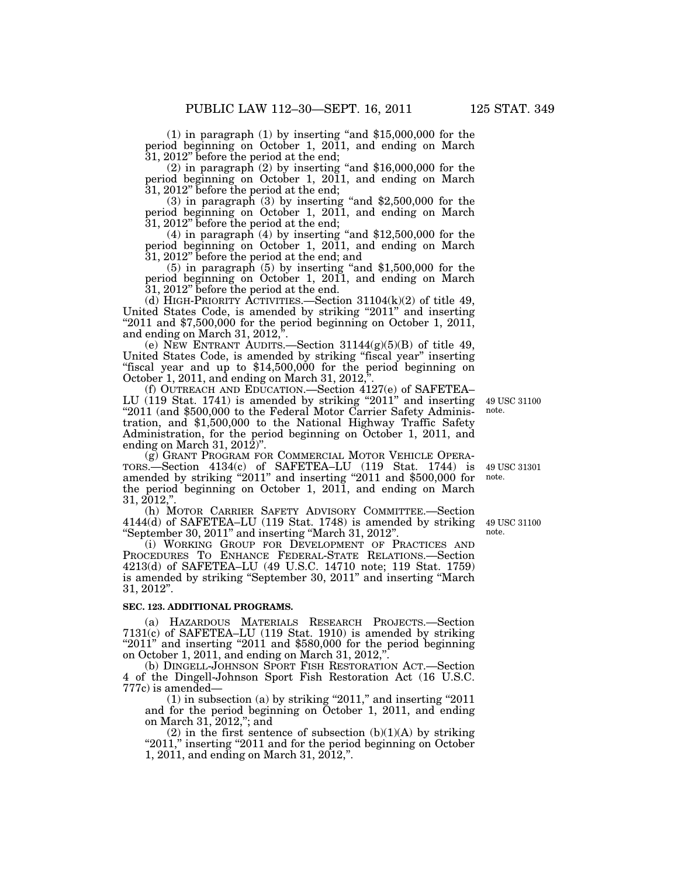$(1)$  in paragraph  $(1)$  by inserting "and \$15,000,000 for the period beginning on October 1, 2011, and ending on March 31, 2012" before the period at the end;  $\overline{31}$ , 2012" before the period at the end;<br>(2) in paragraph (2) by inserting "and \$16,000,000 for the

period beginning on October 1, 2011, and ending on March 31, 2012'' before the period at the end;

 $(3)$  in paragraph  $(3)$  by inserting "and \$2,500,000 for the period beginning on October 1, 2011, and ending on March 31, 2012'' before the period at the end;

(4) in paragraph (4) by inserting "and  $$12,500,000$  for the period beginning on October 1, 2011, and ending on March 31, 2012'' before the period at the end; and

 $(5)$  in paragraph  $(5)$  by inserting "and \$1,500,000 for the period beginning on October 1, 2011, and ending on March 31, 2012'' before the period at the end.

(d) HIGH-PRIORITY ACTIVITIES.—Section  $31104(k)(2)$  of title 49, United States Code, is amended by striking "2011" and inserting " $2011$  and \$7,500,000 for the period beginning on October 1, 2011, and ending on March 31, 2012,''.

(e) NEW ENTRANT AUDITS.—Section  $31144(g)(5)(B)$  of title 49, United States Code, is amended by striking "fiscal year" inserting ''fiscal year and up to \$14,500,000 for the period beginning on October 1, 2011, and ending on March 31, 2012,''.

(f) OUTREACH AND EDUCATION.—Section 4127(e) of SAFETEA– LU (119 Stat. 1741) is amended by striking "2011" and inserting "2011 (and \$500,000 to the Federal Motor Carrier Safety Administration, and \$1,500,000 to the National Highway Traffic Safety Administration, for the period beginning on October 1, 2011, and ending on March 31,  $201\overline{2}$ ".

(g) GRANT PROGRAM FOR COMMERCIAL MOTOR VEHICLE OPERA-TORS.—Section 4134(c) of SAFETEA–LU (119 Stat. 1744) is amended by striking "2011" and inserting "2011 and \$500,000 for the period beginning on October 1, 2011, and ending on March 31, 2012,''.

(h) MOTOR CARRIER SAFETY ADVISORY COMMITTEE.—Section 4144(d) of SAFETEA–LU (119 Stat. 1748) is amended by striking ''September 30, 2011'' and inserting ''March 31, 2012''.

(i) WORKING GROUP FOR DEVELOPMENT OF PRACTICES AND PROCEDURES TO ENHANCE FEDERAL-STATE RELATIONS.—Section 4213(d) of SAFETEA–LU (49 U.S.C. 14710 note; 119 Stat. 1759) is amended by striking ''September 30, 2011'' and inserting ''March 31, 2012''.

#### **SEC. 123. ADDITIONAL PROGRAMS.**

(a) HAZARDOUS MATERIALS RESEARCH PROJECTS.—Section 7131(c) of SAFETEA–LU (119 Stat. 1910) is amended by striking "2011" and inserting "2011 and \$580,000 for the period beginning on October 1, 2011, and ending on March 31, 2012,''.

(b) DINGELL-JOHNSON SPORT FISH RESTORATION ACT.—Section 4 of the Dingell-Johnson Sport Fish Restoration Act (16 U.S.C. 777c) is amended—

 $(1)$  in subsection  $(a)$  by striking "2011," and inserting "2011 and for the period beginning on October 1, 2011, and ending on March 31, 2012,''; and

(2) in the first sentence of subsection  $(b)(1)(A)$  by striking "2011," inserting "2011 and for the period beginning on October 1, 2011, and ending on March 31, 2012,''.

49 USC 31301 note.

49 USC 31100 note.

49 USC 31100 note.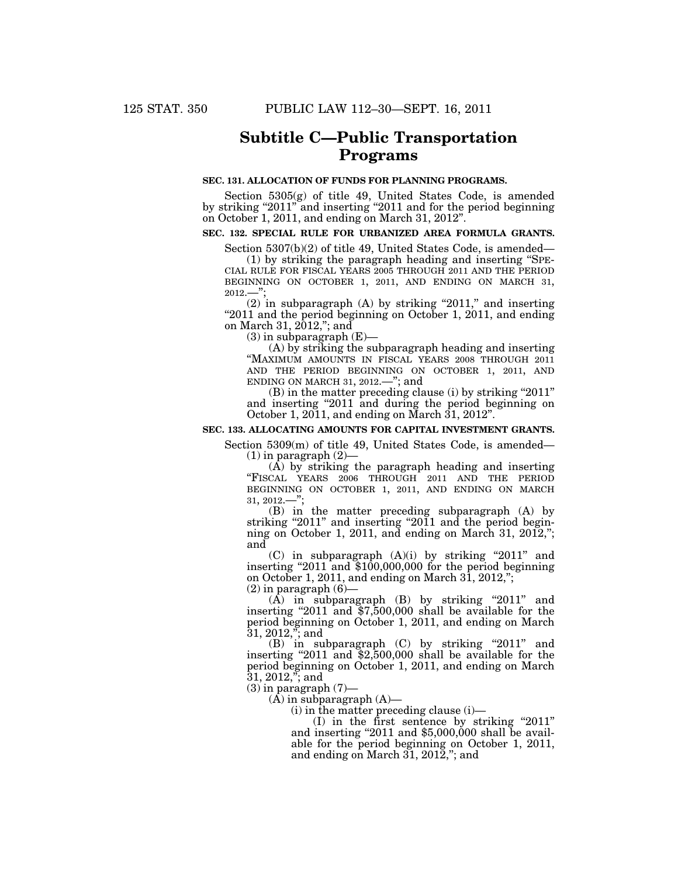## **Subtitle C—Public Transportation Programs**

## **SEC. 131. ALLOCATION OF FUNDS FOR PLANNING PROGRAMS.**

Section 5305(g) of title 49, United States Code, is amended by striking "2011" and inserting "2011 and for the period beginning on October 1, 2011, and ending on March 31, 2012".

## **SEC. 132. SPECIAL RULE FOR URBANIZED AREA FORMULA GRANTS.**

Section 5307(b)(2) of title 49, United States Code, is amended—

(1) by striking the paragraph heading and inserting ''SPE- CIAL RULE FOR FISCAL YEARS 2005 THROUGH 2011 AND THE PERIOD BEGINNING ON OCTOBER 1, 2011, AND ENDING ON MARCH 31, 2012.—'';

 $(2)$  in subparagraph  $(A)$  by striking "2011," and inserting "2011 and the period beginning on October 1, 2011, and ending on March 31, 2012,''; and

 $(3)$  in subparagraph  $(E)$ —

(A) by striking the subparagraph heading and inserting ''MAXIMUM AMOUNTS IN FISCAL YEARS 2008 THROUGH 2011 AND THE PERIOD BEGINNING ON OCTOBER 1, 2011, AND ENDING ON MARCH 31, 2012.—''; and

(B) in the matter preceding clause (i) by striking "2011" and inserting "2011 and during the period beginning on October 1, 2011, and ending on March 31, 2012''.

#### **SEC. 133. ALLOCATING AMOUNTS FOR CAPITAL INVESTMENT GRANTS.**

Section 5309(m) of title 49, United States Code, is amended—  $(1)$  in paragraph  $(2)$ -

(A) by striking the paragraph heading and inserting "FISCAL YEARS 2006 THROUGH 2011 AND THE PERIOD BEGINNING ON OCTOBER 1, 2011, AND ENDING ON MARCH 31, 2012.—'';

(B) in the matter preceding subparagraph (A) by striking "2011" and inserting "2011 and the period beginning on October 1, 2011, and ending on March 31, 2012,"; and

 $(C)$  in subparagraph  $(A)(i)$  by striking "2011" and inserting "2011 and \$100,000,000 for the period beginning on October 1, 2011, and ending on March 31, 2012,'';  $(2)$  in paragraph  $(6)$ 

 $(A)$  in subparagraph  $(B)$  by striking "2011" and inserting "2011 and  $$7,500,000$  shall be available for the period beginning on October 1, 2011, and ending on March 31, 2012,''; and

(B) in subparagraph (C) by striking "2011" and inserting ''2011 and \$2,500,000 shall be available for the period beginning on October 1, 2011, and ending on March 31, 2012,''; and

 $(3)$  in paragraph  $(7)$ —

 $(A)$  in subparagraph  $(A)$ —

(i) in the matter preceding clause (i)—

 $(I)$  in the first sentence by striking "2011" and inserting "2011 and  $$5,000,000$  shall be available for the period beginning on October 1, 2011, and ending on March 31, 2012,''; and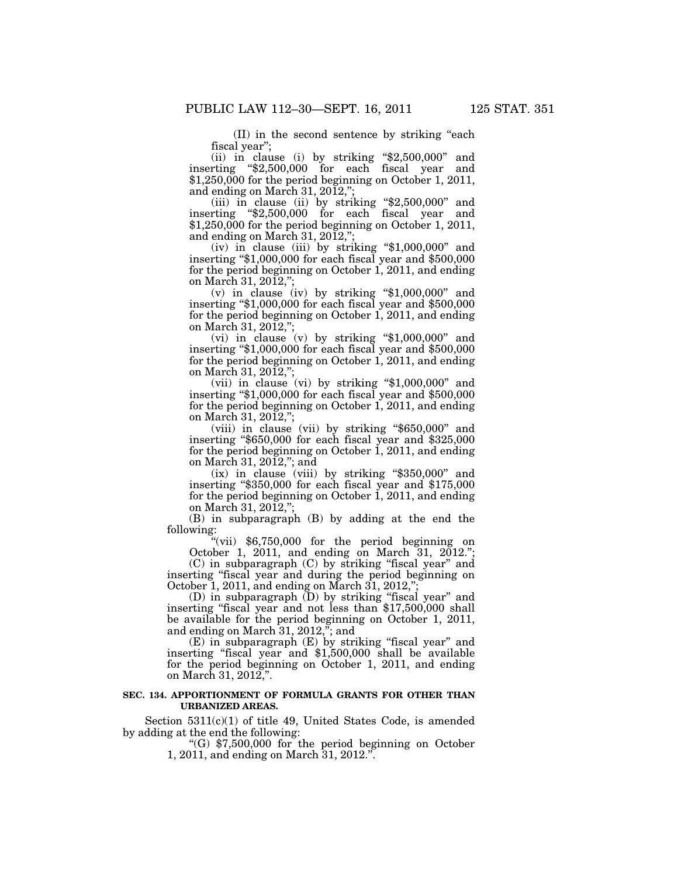(II) in the second sentence by striking ''each fiscal year'';

(ii) in clause (i) by striking ''\$2,500,000'' and inserting ''\$2,500,000 for each fiscal year and \$1,250,000 for the period beginning on October 1, 2011, and ending on March 31,  $20\overline{1}2$ ,";

(iii) in clause (ii) by striking "\$2,500,000" and inserting ''\$2,500,000 for each fiscal year and \$1,250,000 for the period beginning on October 1, 2011, and ending on March 31, 2012,'';

(iv) in clause (iii) by striking " $$1,000,000"$  and inserting "\$1,000,000 for each fiscal year and \$500,000 for the period beginning on October 1, 2011, and ending on March 31, 2012,'';

(v) in clause (iv) by striking " $$1,000,000"$  and inserting ''\$1,000,000 for each fiscal year and \$500,000 for the period beginning on October 1, 2011, and ending on March 31, 2012,'';

(vi) in clause (v) by striking " $$1,000,000"$  and inserting ''\$1,000,000 for each fiscal year and \$500,000 for the period beginning on October 1, 2011, and ending on March 31, 2012,";

(vii) in clause (vi) by striking ''\$1,000,000'' and inserting ''\$1,000,000 for each fiscal year and \$500,000 for the period beginning on October 1, 2011, and ending on March 31, 2012,'';

(viii) in clause (vii) by striking ''\$650,000'' and inserting ''\$650,000 for each fiscal year and \$325,000 for the period beginning on October  $1$ , 2011, and ending on March 31, 2012,''; and

(ix) in clause (viii) by striking ''\$350,000'' and inserting ''\$350,000 for each fiscal year and \$175,000 for the period beginning on October 1, 2011, and ending on March 31, 2012,'';

(B) in subparagraph (B) by adding at the end the following:

''(vii) \$6,750,000 for the period beginning on October 1, 2011, and ending on March 31, 2012.''; (C) in subparagraph (C) by striking ''fiscal year'' and

inserting ''fiscal year and during the period beginning on October 1, 2011, and ending on March 31, 2012,'';

(D) in subparagraph (D) by striking ''fiscal year'' and inserting ''fiscal year and not less than \$17,500,000 shall be available for the period beginning on October 1, 2011, and ending on March 31, 2012,''; and

(E) in subparagraph (E) by striking ''fiscal year'' and inserting ''fiscal year and \$1,500,000 shall be available for the period beginning on October 1, 2011, and ending on March 31, 2012,''.

## **SEC. 134. APPORTIONMENT OF FORMULA GRANTS FOR OTHER THAN URBANIZED AREAS.**

Section  $5311(c)(1)$  of title 49, United States Code, is amended by adding at the end the following:

> ''(G) \$7,500,000 for the period beginning on October 1, 2011, and ending on March 31, 2012.''.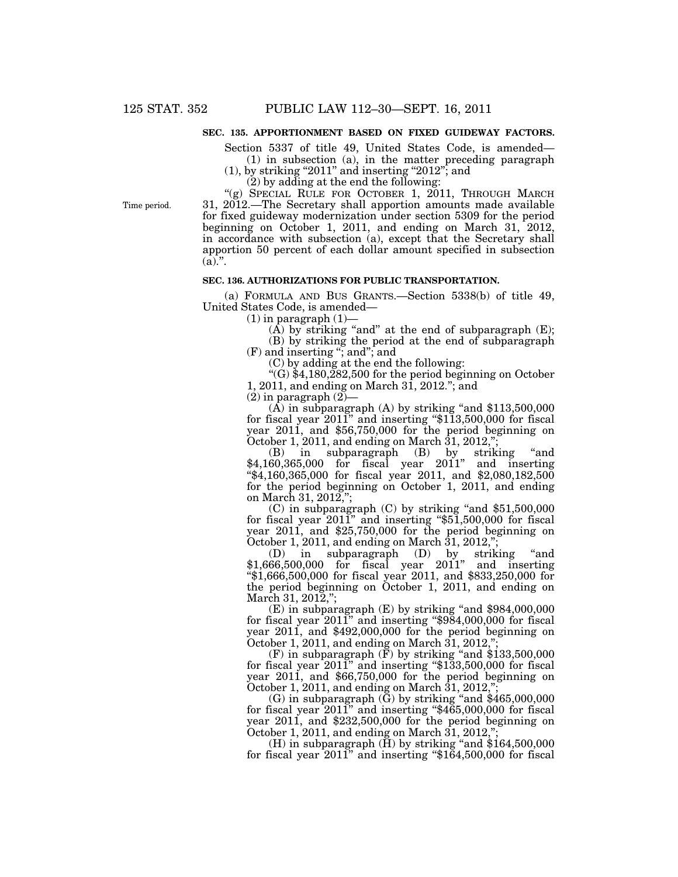## **SEC. 135. APPORTIONMENT BASED ON FIXED GUIDEWAY FACTORS.**

Section 5337 of title 49, United States Code, is amended— (1) in subsection (a), in the matter preceding paragraph

 $(1)$ , by striking "2011" and inserting "2012"; and

 $(2)$  by adding at the end the following:

"(g) SPECIAL RULE FOR OCTOBER 1, 2011, THROUGH MARCH 31, 2012.—The Secretary shall apportion amounts made available for fixed guideway modernization under section 5309 for the period beginning on October 1, 2011, and ending on March 31, 2012, in accordance with subsection (a), except that the Secretary shall apportion 50 percent of each dollar amount specified in subsection  $\overline{(a)}$ .

### **SEC. 136. AUTHORIZATIONS FOR PUBLIC TRANSPORTATION.**

(a) FORMULA AND BUS GRANTS.—Section 5338(b) of title 49, United States Code, is amended—

 $(1)$  in paragraph  $(1)$ —

 $(A)$  by striking "and" at the end of subparagraph  $(E)$ ; (B) by striking the period at the end of subparagraph

(F) and inserting ''; and''; and

(C) by adding at the end the following:

"(G)  $$4,180,282,500$  for the period beginning on October 1, 2011, and ending on March 31, 2012.''; and

 $(2)$  in paragraph  $(2)$ 

 $(A)$  in subparagraph  $(A)$  by striking "and \$113,500,000 for fiscal year 2011" and inserting "\$113,500,000 for fiscal year 2011, and \$56,750,000 for the period beginning on October 1, 2011, and ending on March 31, 2012,'';

(B) in subparagraph (B) by striking ''and \$4,160,365,000 for fiscal year 2011'' and inserting ''\$4,160,365,000 for fiscal year 2011, and \$2,080,182,500 for the period beginning on October 1, 2011, and ending on March 31, 2012,'';

 $(C)$  in subparagraph  $(C)$  by striking "and \$51,500,000 for fiscal year 2011'' and inserting ''\$51,500,000 for fiscal year 2011, and \$25,750,000 for the period beginning on October 1, 2011, and ending on March 31, 2012,'';

(D) in subparagraph (D) by striking ''and \$1,666,500,000 for fiscal year 2011'' and inserting ''\$1,666,500,000 for fiscal year 2011, and \$833,250,000 for the period beginning on October 1, 2011, and ending on March 31, 2012,";

(E) in subparagraph (E) by striking "and \$984,000,000 for fiscal year 2011'' and inserting ''\$984,000,000 for fiscal year 2011, and \$492,000,000 for the period beginning on October 1, 2011, and ending on March 31, 2012,'';

 $(F)$  in subparagraph  $(F)$  by striking "and \$133,500,000 for fiscal year 2011'' and inserting ''\$133,500,000 for fiscal year 2011, and \$66,750,000 for the period beginning on October 1, 2011, and ending on March  $31, 2012,$ "

(G) in subparagraph  $(\bar{G})$  by striking "and \$465,000,000 for fiscal year 2011'' and inserting ''\$465,000,000 for fiscal year 2011, and \$232,500,000 for the period beginning on October 1, 2011, and ending on March  $31$ , 2012,";

(H) in subparagraph  $\overline{H}$ ) by striking "and \$164,500,000 for fiscal year 2011'' and inserting ''\$164,500,000 for fiscal

Time period.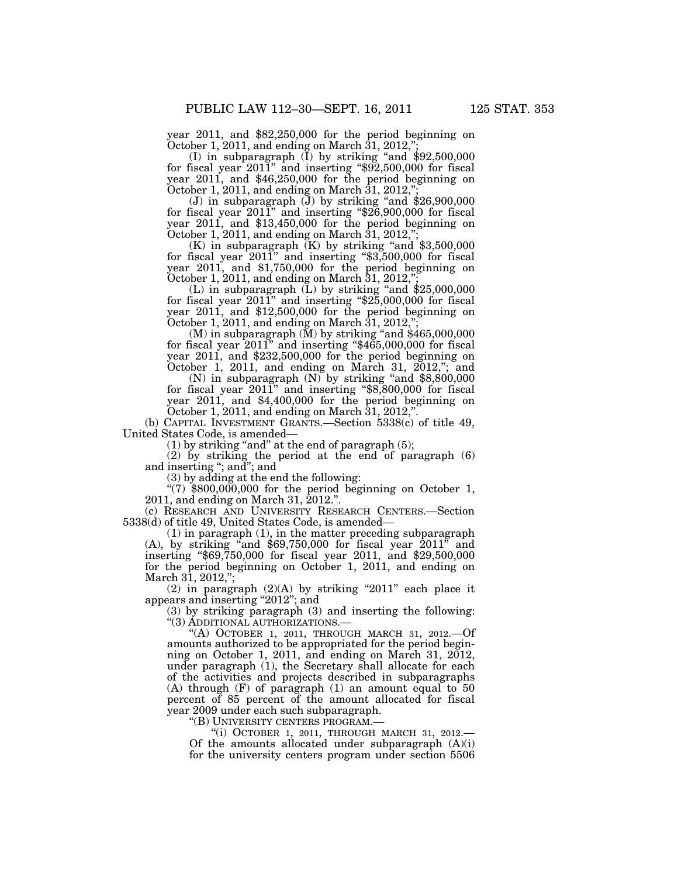year 2011, and \$82,250,000 for the period beginning on

October 1, 2011, and ending on March 31, 2012,";<br>(I) in subparagraph (I) by striking "and \$92,500,000<br>for fiscal year 2011" and inserting "\$92,500,000 for fiscal year 2011, and \$46,250,000 for the period beginning on October 1, 2011, and ending on March  $31, 2012$ ,

(J) in subparagraph  $(J)$  by striking "and \$26,900,000 for fiscal year  $2011$ " and inserting "\$26,900,000 for fiscal year 2011, and \$13,450,000 for the period beginning on October 1, 2011, and ending on March  $31, 2012,$ ";

 $(K)$  in subparagraph  $(K)$  by striking "and \$3,500,000 for fiscal year 2011'' and inserting ''\$3,500,000 for fiscal year 2011, and \$1,750,000 for the period beginning on October 1, 2011, and ending on March 31, 2012,'';

(L) in subparagraph  $(L)$  by striking "and \$25,000,000 for fiscal year  $201\overline{1}$ " and inserting "\$25,000,000 for fiscal year 2011, and \$12,500,000 for the period beginning on October 1, 2011, and ending on March  $31, 2012,$ ";

 $(M)$  in subparagraph  $(M)$  by striking "and \$465,000,000 for fiscal year 2011" and inserting "\$465,000,000 for fiscal year 2011, and \$232,500,000 for the period beginning on October 1, 2011, and ending on March 31, 2012,"; and

(N) in subparagraph  $(N)$  by striking "and \$8,800,000 for fiscal year 2011'' and inserting ''\$8,800,000 for fiscal year 2011, and \$4,400,000 for the period beginning on October 1, 2011, and ending on March  $31, 2012$ ,"

(b) CAPITAL INVESTMENT GRANTS.—Section 5338(c) of title 49, United States Code, is amended—

 $(1)$  by striking "and" at the end of paragraph  $(5)$ ;

(2) by striking the period at the end of paragraph (6) and inserting ''; and''; and

(3) by adding at the end the following:

" $(7)$  \$800,000,000 for the period beginning on October 1, 2011, and ending on March 31, 2012.''.

(c) RESEARCH AND UNIVERSITY RESEARCH CENTERS.—Section 5338(d) of title 49, United States Code, is amended—

(1) in paragraph (1), in the matter preceding subparagraph  $(A)$ , by striking "and \$69,750,000 for fiscal year 2011" and inserting ''\$69,750,000 for fiscal year 2011, and \$29,500,000 for the period beginning on October 1, 2011, and ending on March 31, 2012,"

(2) in paragraph  $(2)(A)$  by striking "2011" each place it appears and inserting "2012"; and

(3) by striking paragraph (3) and inserting the following: ''(3) ADDITIONAL AUTHORIZATIONS.—

"(A) OCTOBER 1, 2011, THROUGH MARCH 31, 2012.—Of amounts authorized to be appropriated for the period beginning on October 1, 2011, and ending on March 31, 2012, under paragraph (1), the Secretary shall allocate for each of the activities and projects described in subparagraphs (A) through (F) of paragraph (1) an amount equal to 50 percent of 85 percent of the amount allocated for fiscal year 2009 under each such subparagraph.

''(B) UNIVERSITY CENTERS PROGRAM.—

"(i) OCTOBER 1, 2011, THROUGH MARCH 31, 2012.—<br>Of the amounts allocated under subparagraph  $(A)(i)$ for the university centers program under section 5506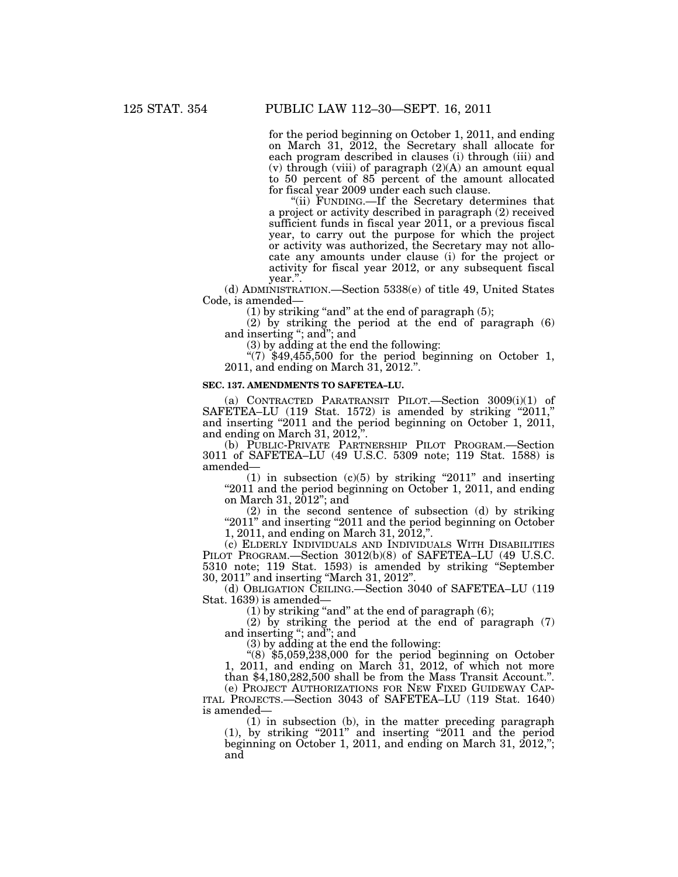for the period beginning on October 1, 2011, and ending on March 31, 2012, the Secretary shall allocate for each program described in clauses (i) through (iii) and  $(v)$  through  $(viii)$  of paragraph  $(2)(A)$  an amount equal to 50 percent of 85 percent of the amount allocated for fiscal year 2009 under each such clause.

''(ii) FUNDING.—If the Secretary determines that a project or activity described in paragraph (2) received sufficient funds in fiscal year 2011, or a previous fiscal year, to carry out the purpose for which the project or activity was authorized, the Secretary may not allocate any amounts under clause (i) for the project or activity for fiscal year 2012, or any subsequent fiscal year.''.

(d) ADMINISTRATION.—Section 5338(e) of title 49, United States Code, is amended—

 $(1)$  by striking "and" at the end of paragraph  $(5)$ ;

 $(2)$  by striking the period at the end of paragraph  $(6)$ and inserting "; and"; and

(3) by adding at the end the following:

"(7)  $$49,455,500$  for the period beginning on October 1, 2011, and ending on March 31, 2012.''.

#### **SEC. 137. AMENDMENTS TO SAFETEA–LU.**

(a) CONTRACTED PARATRANSIT PILOT.—Section 3009(i)(1) of SAFETEA–LU (119 Stat. 1572) is amended by striking "2011," and inserting "2011 and the period beginning on October 1, 2011, and ending on March 31, 2012,''.

(b) PUBLIC-PRIVATE PARTNERSHIP PILOT PROGRAM.—Section 3011 of SAFETEA–LU (49 U.S.C. 5309 note; 119 Stat. 1588) is amended—

(1) in subsection  $(c)(5)$  by striking "2011" and inserting "2011 and the period beginning on October 1, 2011, and ending on March 31, 2012''; and

(2) in the second sentence of subsection (d) by striking "2011" and inserting "2011 and the period beginning on October 1, 2011, and ending on March 31, 2012,''.

(c) ELDERLY INDIVIDUALS AND INDIVIDUALS WITH DISABILITIES PILOT PROGRAM.—Section 3012(b)(8) of SAFETEA–LU (49 U.S.C. 5310 note; 119 Stat. 1593) is amended by striking ''September 30, 2011'' and inserting ''March 31, 2012''.

(d) OBLIGATION CEILING.—Section 3040 of SAFETEA–LU (119 Stat. 1639) is amended—

 $(1)$  by striking "and" at the end of paragraph  $(6)$ ;

(2) by striking the period at the end of paragraph (7) and inserting ''; and''; and

(3) by adding at the end the following:

" $(8)$  \$5,059,238,000 for the period beginning on October 1, 2011, and ending on March 31, 2012, of which not more than \$4,180,282,500 shall be from the Mass Transit Account.''. (e) PROJECT AUTHORIZATIONS FOR NEW FIXED GUIDEWAY CAP- ITAL PROJECTS.—Section 3043 of SAFETEA–LU (119 Stat. 1640)

is amended— (1) in subsection (b), in the matter preceding paragraph

 $(1)$ , by striking "2011" and inserting "2011 and the period beginning on October 1, 2011, and ending on March 31, 2012,"; and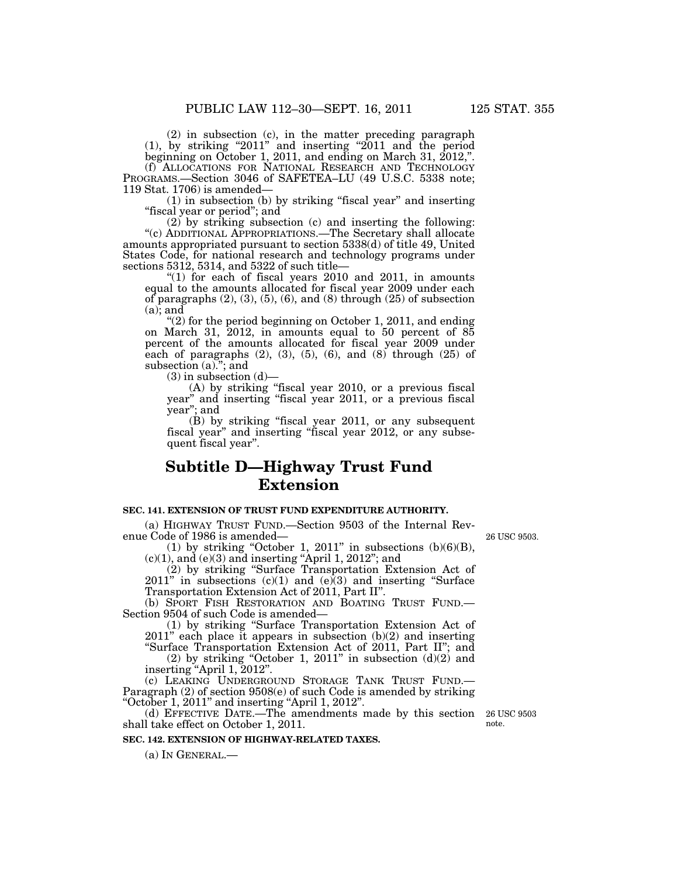(2) in subsection (c), in the matter preceding paragraph  $(1)$ , by striking "2011" and inserting "2011 and the period beginning on October 1, 2011, and ending on March 31, 2012,''.

(f) ALLOCATIONS FOR NATIONAL RESEARCH AND TECHNOLOGY PROGRAMS.—Section 3046 of SAFETEA–LU (49 U.S.C. 5338 note; 119 Stat. 1706) is amended—

(1) in subsection (b) by striking ''fiscal year'' and inserting "fiscal year or period"; and

(2) by striking subsection (c) and inserting the following: ''(c) ADDITIONAL APPROPRIATIONS.—The Secretary shall allocate amounts appropriated pursuant to section 5338(d) of title 49, United States Code, for national research and technology programs under sections 5312, 5314, and 5322 of such title—

" $(1)$  for each of fiscal years 2010 and 2011, in amounts equal to the amounts allocated for fiscal year 2009 under each of paragraphs  $(2)$ ,  $(3)$ ,  $(5)$ ,  $(6)$ , and  $(8)$  through  $(25)$  of subsection  $(a)$ ; and

 $(2)$  for the period beginning on October 1, 2011, and ending on March 31, 2012, in amounts equal to 50 percent of 85 percent of the amounts allocated for fiscal year 2009 under each of paragraphs  $(2)$ ,  $(3)$ ,  $(5)$ ,  $(6)$ , and  $(8)$  through  $(25)$  of subsection (a)."; and

 $(3)$  in subsection  $(d)$ 

(A) by striking ''fiscal year 2010, or a previous fiscal year" and inserting "fiscal year 2011, or a previous fiscal year"; and<br> $(B)$  by striking "fiscal year 2011, or any subsequent

(B) by striking ''fiscal year 2011, or any subsequent fiscal year'' and inserting ''fiscal year 2012, or any subsequent fiscal year''.

## **Subtitle D—Highway Trust Fund Extension**

## **SEC. 141. EXTENSION OF TRUST FUND EXPENDITURE AUTHORITY.**

(a) HIGHWAY TRUST FUND.—Section 9503 of the Internal Revenue Code of 1986 is amended—

(1) by striking "October 1, 2011" in subsections  $(b)(6)(B)$ ,  $(c)(1)$ , and  $(e)(3)$  and inserting "April 1, 2012"; and

(2) by striking ''Surface Transportation Extension Act of  $2011$ " in subsections (c)(1) and (e)(3) and inserting "Surface Transportation Extension Act of 2011, Part II''.

(b) SPORT FISH RESTORATION AND BOATING TRUST FUND.— Section 9504 of such Code is amended—

(1) by striking ''Surface Transportation Extension Act of 2011'' each place it appears in subsection (b)(2) and inserting

"Surface Transportation Extension Act of 2011, Part II"; and (2) by striking "October 1, 2011" in subsection  $(d)(2)$  and

inserting "April 1, 2012".<br>(c) LEAKING UNDERGROUND STORAGE TANK TRUST FUND.— Paragraph  $(2)$  of section 9508 $(e)$  of such Code is amended by striking ''October 1, 2011'' and inserting ''April 1, 2012''.

(d) EFFECTIVE DATE.—The amendments made by this section shall take effect on October 1, 2011.

## **SEC. 142. EXTENSION OF HIGHWAY-RELATED TAXES.**

(a) IN GENERAL.—

26 USC 9503 note.

26 USC 9503.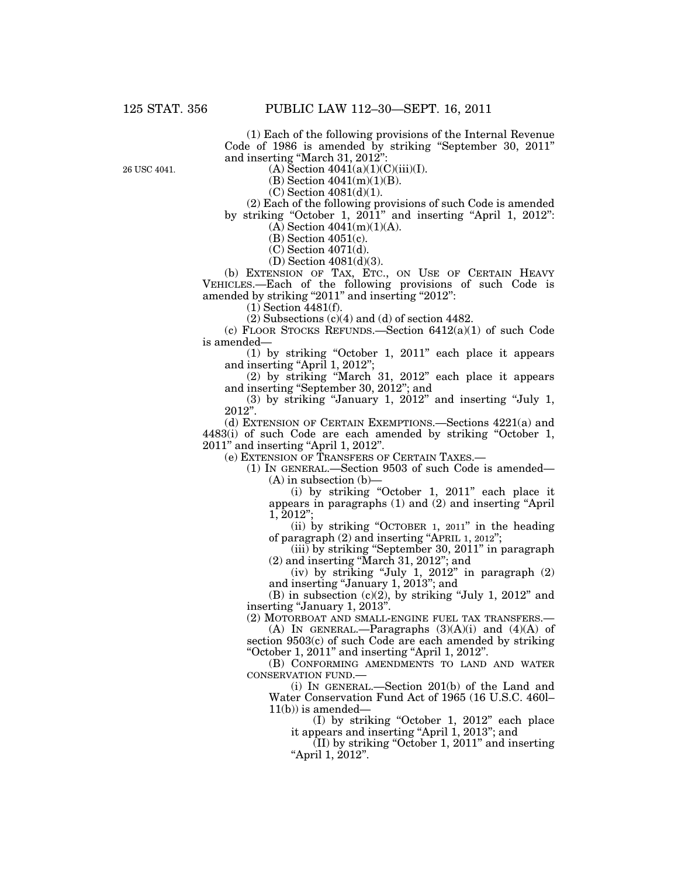(1) Each of the following provisions of the Internal Revenue Code of 1986 is amended by striking ''September 30, 2011'' and inserting ''March 31, 2012'':

26 USC 4041.

 $(A)$  Section  $4041(a)(1)(C)(iii)(I)$ .

(B) Section 4041(m)(1)(B).

 $(C)$  Section 4081 $(d)(1)$ .

(2) Each of the following provisions of such Code is amended by striking "October 1, 2011" and inserting "April 1, 2012":  $(A)$  Section 4041 $(m)(1)(A)$ .

(B) Section 4051(c).

(C) Section 4071(d).

(D) Section 4081(d)(3).

(b) EXTENSION OF TAX, ETC., ON USE OF CERTAIN HEAVY VEHICLES.—Each of the following provisions of such Code is amended by striking "2011" and inserting "2012":

(1) Section 4481(f).

(2) Subsections (c)(4) and (d) of section 4482.

(c) FLOOR STOCKS REFUNDS.—Section 6412(a)(1) of such Code is amended—

(1) by striking ''October 1, 2011'' each place it appears and inserting "April 1, 2012";

(2) by striking ''March 31, 2012'' each place it appears and inserting ''September 30, 2012''; and

 $(3)$  by striking "January 1, 2012" and inserting "July 1, 2012''.

(d) EXTENSION OF CERTAIN EXEMPTIONS.—Sections 4221(a) and 4483(i) of such Code are each amended by striking ''October 1, 2011'' and inserting ''April 1, 2012''.

(e) EXTENSION OF TRANSFERS OF CERTAIN TAXES.—

(1) IN GENERAL.—Section 9503 of such Code is amended— (A) in subsection (b)—

(i) by striking "October 1, 2011" each place it appears in paragraphs (1) and (2) and inserting ''April 1, 2012'';

(ii) by striking ''OCTOBER 1, 2011'' in the heading of paragraph (2) and inserting ''APRIL 1, 2012'';

(iii) by striking ''September 30, 2011'' in paragraph (2) and inserting ''March 31, 2012''; and

(iv) by striking "July 1,  $2012$ " in paragraph  $(2)$ and inserting ''January 1, 2013''; and

(B) in subsection  $(c)(2)$ , by striking "July 1, 2012" and inserting "January 1, 2013".

(2) MOTORBOAT AND SMALL-ENGINE FUEL TAX TRANSFERS.—

(A) IN GENERAL.—Paragraphs  $(3)(A)(i)$  and  $(4)(A)$  of section 9503(c) of such Code are each amended by striking ''October 1, 2011'' and inserting ''April 1, 2012''.

(B) CONFORMING AMENDMENTS TO LAND AND WATER CONSERVATION FUND.—

(i) IN GENERAL.—Section 201(b) of the Land and Water Conservation Fund Act of 1965 (16 U.S.C. 460l–  $11(b)$ ) is amended—

(I) by striking ''October 1, 2012'' each place it appears and inserting ''April 1, 2013''; and

 $(II)$  by striking "October 1, 2011" and inserting ''April 1, 2012''.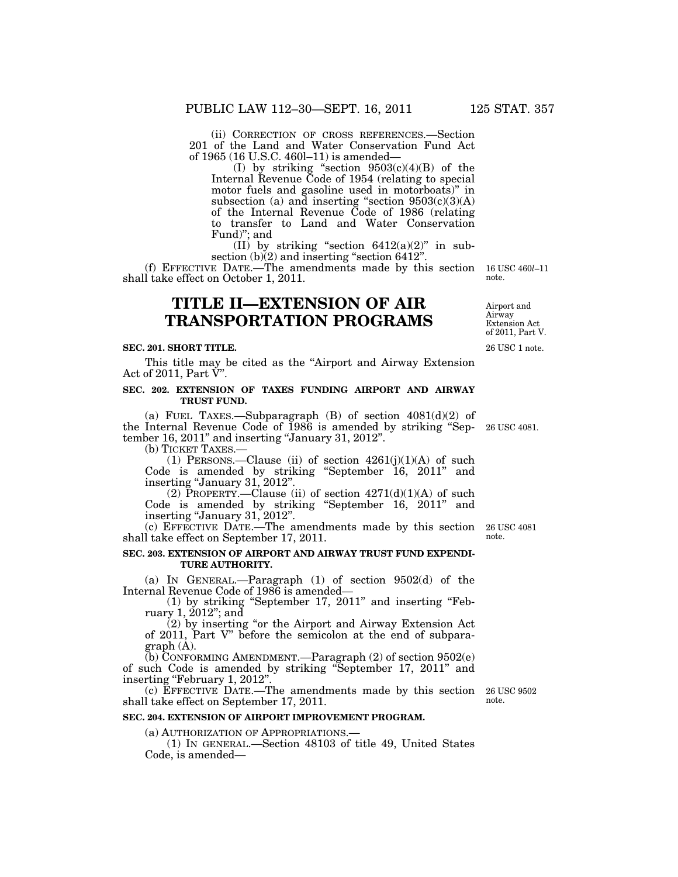(ii) CORRECTION OF CROSS REFERENCES.—Section 201 of the Land and Water Conservation Fund Act of 1965 (16 U.S.C. 460l–11) is amended—

(I) by striking "section  $9503(c)(4)(B)$  of the Internal Revenue Code of 1954 (relating to special motor fuels and gasoline used in motorboats)'' in subsection (a) and inserting "section  $9503(c)(3)(A)$ of the Internal Revenue Code of 1986 (relating to transfer to Land and Water Conservation Fund)''; and

(II) by striking "section  $6412(a)(2)$ " in subsection (b)(2) and inserting "section 6412".

(f) EFFECTIVE DATE.—The amendments made by this section shall take effect on October 1, 2011.

## **TITLE II—EXTENSION OF AIR TRANSPORTATION PROGRAMS**

### **SEC. 201. SHORT TITLE.**

This title may be cited as the ''Airport and Airway Extension Act of 2011, Part  $\check{V}$ ".

## **SEC. 202. EXTENSION OF TAXES FUNDING AIRPORT AND AIRWAY TRUST FUND.**

(a) FUEL TAXES.—Subparagraph  $(B)$  of section  $4081(d)(2)$  of the Internal Revenue Code of 1986 is amended by striking ''September 16, 2011'' and inserting ''January 31, 2012''.

(b) TICKET TAXES.—

(1) PERSONS.—Clause (ii) of section  $4261(j)(1)(A)$  of such Code is amended by striking ''September 16, 2011'' and inserting "January 31, 2012".

(2) PROPERTY.—Clause (ii) of section  $4271(d)(1)(A)$  of such Code is amended by striking ''September 16, 2011'' and inserting "January 31, 2012".

(c) EFFECTIVE DATE.—The amendments made by this section 26 USC 4081 shall take effect on September 17, 2011.

## **SEC. 203. EXTENSION OF AIRPORT AND AIRWAY TRUST FUND EXPENDI-TURE AUTHORITY.**

(a) IN GENERAL.—Paragraph (1) of section 9502(d) of the Internal Revenue Code of 1986 is amended—

(1) by striking ''September 17, 2011'' and inserting ''February 1, 2012''; and

 $(2)$  by inserting "or the Airport and Airway Extension Act of 2011, Part V'' before the semicolon at the end of subparagraph (A).

(b) CONFORMING AMENDMENT.—Paragraph (2) of section 9502(e) of such Code is amended by striking ''September 17, 2011'' and inserting "February 1, 2012".

(c) EFFECTIVE DATE.—The amendments made by this section 26 USC 9502 shall take effect on September 17, 2011.

#### **SEC. 204. EXTENSION OF AIRPORT IMPROVEMENT PROGRAM.**

(a) AUTHORIZATION OF APPROPRIATIONS.— (1) IN GENERAL.—Section 48103 of title 49, United States Code, is amended—

26 USC 1 note. Extension Act of 2011, Part V.

26 USC 4081.

note.

note.

Airport and Airway

16 USC 460*l*–11

note.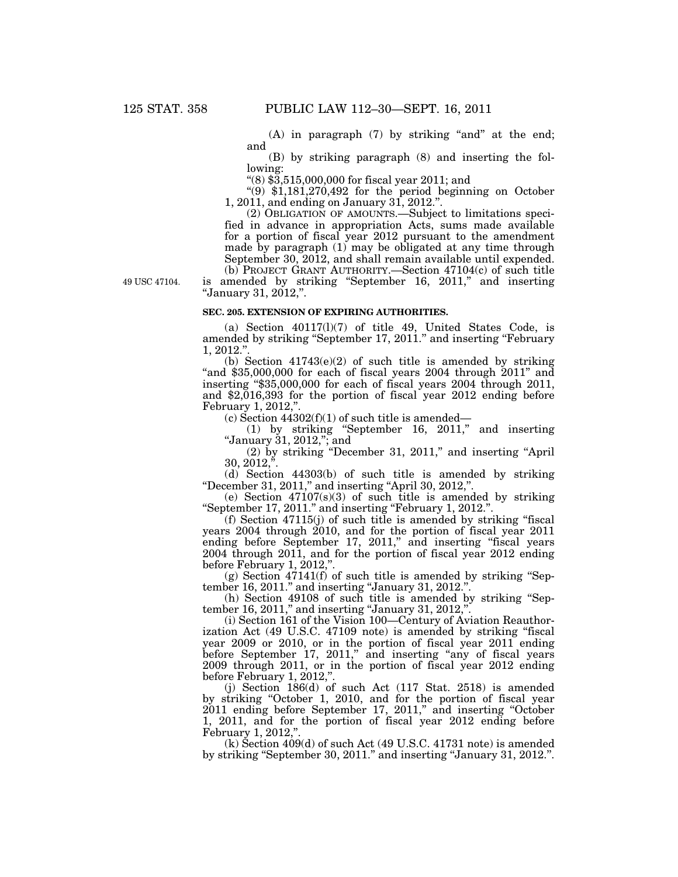$(A)$  in paragraph  $(7)$  by striking "and" at the end; and

(B) by striking paragraph (8) and inserting the following:

''(8) \$3,515,000,000 for fiscal year 2011; and

" $(9)$  \$1,181,270,492 for the period beginning on October 1, 2011, and ending on January 31, 2012.''.

(2) OBLIGATION OF AMOUNTS.—Subject to limitations specified in advance in appropriation Acts, sums made available for a portion of fiscal year 2012 pursuant to the amendment made by paragraph (1) may be obligated at any time through September 30, 2012, and shall remain available until expended. (b) PROJECT GRANT AUTHORITY.—Section 47104(c) of such title is amended by striking "September 16, 2011," and inserting ''January 31, 2012,''.

49 USC 47104.

#### **SEC. 205. EXTENSION OF EXPIRING AUTHORITIES.**

(a) Section 40117(l)(7) of title 49, United States Code, is amended by striking ''September 17, 2011.'' and inserting ''February  $1, 2012.'$ 

(b) Section  $41743(e)(2)$  of such title is amended by striking "and  $$35,000,000$  for each of fiscal years 2004 through  $2011$ " and inserting ''\$35,000,000 for each of fiscal years 2004 through 2011, and \$2,016,393 for the portion of fiscal year 2012 ending before February 1, 2012,''.

(c) Section  $44302(f)(1)$  of such title is amended—

(1) by striking ''September 16, 2011,'' and inserting ''January 31, 2012,''; and

(2) by striking ''December 31, 2011,'' and inserting ''April  $30, 2012, ...$ 

(d) Section 44303(b) of such title is amended by striking ''December 31, 2011,'' and inserting ''April 30, 2012,''.

(e) Section  $47107(s)(3)$  of such title is amended by striking ''September 17, 2011.'' and inserting ''February 1, 2012.''.

(f) Section 47115(j) of such title is amended by striking ''fiscal years 2004 through 2010, and for the portion of fiscal year 2011 ending before September 17, 2011," and inserting "fiscal years 2004 through 2011, and for the portion of fiscal year 2012 ending before February 1, 2012,"

 $(g)$  Section 47141(f) of such title is amended by striking "September 16, 2011.'' and inserting ''January 31, 2012.''.

(h) Section 49108 of such title is amended by striking ''September 16, 2011," and inserting "January 31, 2012,".

(i) Section 161 of the Vision 100—Century of Aviation Reauthorization Act (49 U.S.C. 47109 note) is amended by striking "fiscal year 2009 or 2010, or in the portion of fiscal year 2011 ending before September 17, 2011," and inserting "any of fiscal years 2009 through 2011, or in the portion of fiscal year 2012 ending before February 1, 2012,"

(j) Section  $186(d)$  of such Act (117 Stat. 2518) is amended by striking "October 1, 2010, and for the portion of fiscal year 2011 ending before September 17, 2011," and inserting "October 1, 2011, and for the portion of fiscal year 2012 ending before February 1, 2012,''.

 $(k)$  Section 409 $(d)$  of such Act  $(49 \text{ U.S.C. } 41731 \text{ note})$  is amended by striking "September 30, 2011." and inserting "January 31, 2012.".